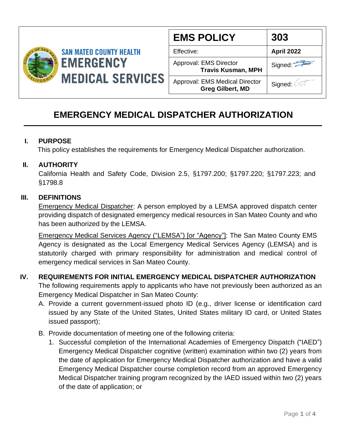

| <b>EMS POLICY</b>                                                | 303        |
|------------------------------------------------------------------|------------|
| Effective:                                                       | April 2022 |
| Approval: EMS Director<br><b>Travis Kusman, MPH</b>              | Signed:    |
| <b>Approval: EMS Medical Director</b><br><b>Greg Gilbert, MD</b> | Signed:    |

# **EMERGENCY MEDICAL DISPATCHER AUTHORIZATION**

#### **I. PURPOSE**

This policy establishes the requirements for Emergency Medical Dispatcher authorization.

#### **II. AUTHORITY**

California Health and Safety Code, Division 2.5, §1797.200; §1797.220; §1797.223; and §1798.8

#### **III. DEFINITIONS**

Emergency Medical Dispatcher: A person employed by a LEMSA approved dispatch center providing dispatch of designated emergency medical resources in San Mateo County and who has been authorized by the LEMSA.

Emergency Medical Services Agency ("LEMSA") [or "Agency"]: The San Mateo County EMS Agency is designated as the Local Emergency Medical Services Agency (LEMSA) and is statutorily charged with primary responsibility for administration and medical control of emergency medical services in San Mateo County.

### **IV. REQUIREMENTS FOR INITIAL EMERGENCY MEDICAL DISPATCHER AUTHORIZATION**

The following requirements apply to applicants who have not previously been authorized as an Emergency Medical Dispatcher in San Mateo County:

- A. Provide a current government-issued photo ID (e.g., driver license or identification card issued by any State of the United States, United States military ID card, or United States issued passport);
- B. Provide documentation of meeting one of the following criteria:
	- 1. Successful completion of the International Academies of Emergency Dispatch ("IAED") Emergency Medical Dispatcher cognitive (written) examination within two (2) years from the date of application for Emergency Medical Dispatcher authorization and have a valid Emergency Medical Dispatcher course completion record from an approved Emergency Medical Dispatcher training program recognized by the IAED issued within two (2) years of the date of application; or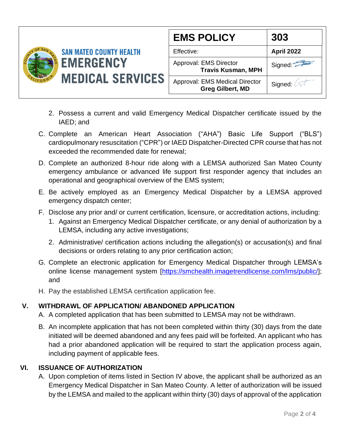

- 2. Possess a current and valid Emergency Medical Dispatcher certificate issued by the IAED; and
- C. Complete an American Heart Association ("AHA") Basic Life Support ("BLS") cardiopulmonary resuscitation ("CPR") or IAED Dispatcher-Directed CPR course that has not exceeded the recommended date for renewal;
- D. Complete an authorized 8-hour ride along with a LEMSA authorized San Mateo County emergency ambulance or advanced life support first responder agency that includes an operational and geographical overview of the EMS system;
- E. Be actively employed as an Emergency Medical Dispatcher by a LEMSA approved emergency dispatch center;
- F. Disclose any prior and/ or current certification, licensure, or accreditation actions, including:
	- 1. Against an Emergency Medical Dispatcher certificate, or any denial of authorization by a LEMSA, including any active investigations;
	- 2. Administrative/ certification actions including the allegation(s) or accusation(s) and final decisions or orders relating to any prior certification action;
- G. Complete an electronic application for Emergency Medical Dispatcher through LEMSA's online license management system [\[https://smchealth.imagetrendlicense.com/lms/public/\]](https://smchealth.imagetrendlicense.com/lms/public/); and
- H. Pay the established LEMSA certification application fee.

### **V. WITHDRAWL OF APPLICATION/ ABANDONED APPLICATION**

- A. A completed application that has been submitted to LEMSA may not be withdrawn.
- B. An incomplete application that has not been completed within thirty (30) days from the date initiated will be deemed abandoned and any fees paid will be forfeited. An applicant who has had a prior abandoned application will be required to start the application process again, including payment of applicable fees.

### **VI. ISSUANCE OF AUTHORIZATION**

A. Upon completion of items listed in Section IV above, the applicant shall be authorized as an Emergency Medical Dispatcher in San Mateo County. A letter of authorization will be issued by the LEMSA and mailed to the applicant within thirty (30) days of approval of the application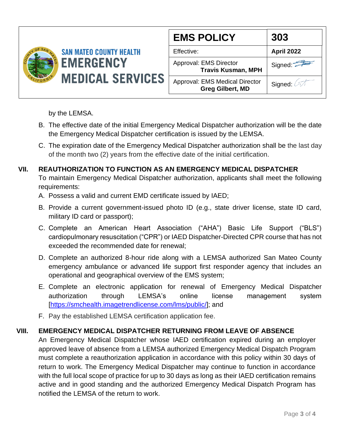

| <b>EMS POLICY</b>                                         | 303        |
|-----------------------------------------------------------|------------|
| Effective:                                                | April 2022 |
| Approval: EMS Director<br><b>Travis Kusman, MPH</b>       | Signed:    |
| Approval: EMS Medical Director<br><b>Greg Gilbert, MD</b> | Signed: 4  |

by the LEMSA.

- B. The effective date of the initial Emergency Medical Dispatcher authorization will be the date the Emergency Medical Dispatcher certification is issued by the LEMSA.
- C. The expiration date of the Emergency Medical Dispatcher authorization shall be the last day of the month two (2) years from the effective date of the initial certification.

## **VII. REAUTHORIZATION TO FUNCTION AS AN EMERGENCY MEDICAL DISPATCHER**

To maintain Emergency Medical Dispatcher authorization, applicants shall meet the following requirements:

- A. Possess a valid and current EMD certificate issued by IAED;
- B. Provide a current government-issued photo ID (e.g., state driver license, state ID card, military ID card or passport);
- C. Complete an American Heart Association ("AHA") Basic Life Support ("BLS") cardiopulmonary resuscitation ("CPR") or IAED Dispatcher-Directed CPR course that has not exceeded the recommended date for renewal;
- D. Complete an authorized 8-hour ride along with a LEMSA authorized San Mateo County emergency ambulance or advanced life support first responder agency that includes an operational and geographical overview of the EMS system;
- E. Complete an electronic application for renewal of Emergency Medical Dispatcher authorization through LEMSA's online license management system [\[https://smchealth.imagetrendlicense.com/lms/public/\]](https://smchealth.imagetrendlicense.com/lms/public/); and
- F. Pay the established LEMSA certification application fee.

### **VIII. EMERGENCY MEDICAL DISPATCHER RETURNING FROM LEAVE OF ABSENCE**

An Emergency Medical Dispatcher whose IAED certification expired during an employer approved leave of absence from a LEMSA authorized Emergency Medical Dispatch Program must complete a reauthorization application in accordance with this policy within 30 days of return to work. The Emergency Medical Dispatcher may continue to function in accordance with the full local scope of practice for up to 30 days as long as their IAED certification remains active and in good standing and the authorized Emergency Medical Dispatch Program has notified the LEMSA of the return to work.